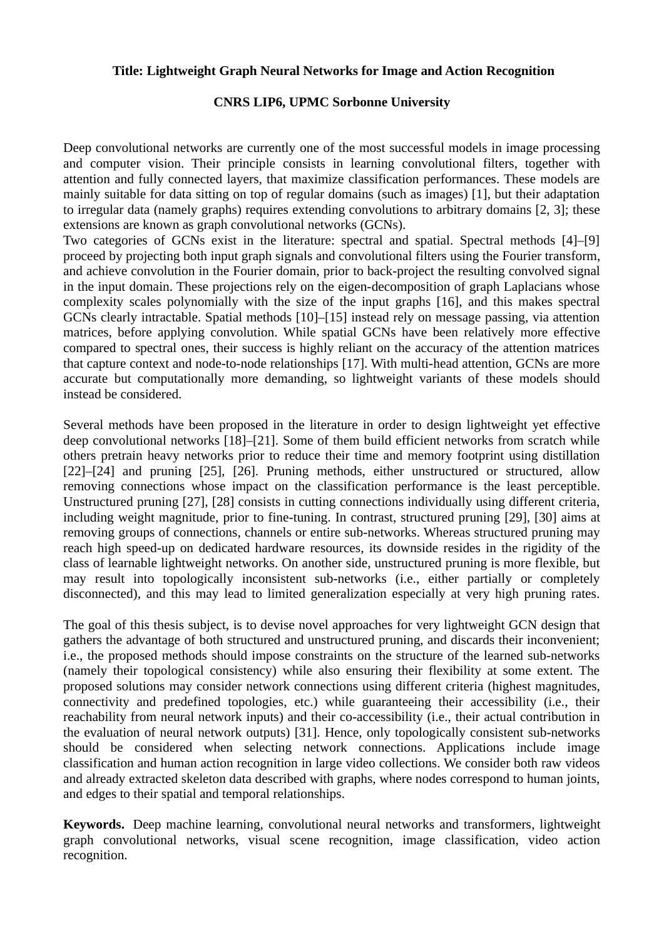## **Title: Lightweight Graph Neural Networks for Image and Action Recognition**

## **CNRS LIP6, UPMC Sorbonne University**

Deep convolutional networks are currently one of the most successful models in image processing and computer vision. Their principle consists in learning convolutional filters, together with attention and fully connected layers, that maximize classification performances. These models are mainly suitable for data sitting on top of regular domains (such as images) [1], but their adaptation to irregular data (namely graphs) requires extending convolutions to arbitrary domains [2, 3]; these extensions are known as graph convolutional networks (GCNs).

Two categories of GCNs exist in the literature: spectral and spatial. Spectral methods [4]–[9] proceed by projecting both input graph signals and convolutional filters using the Fourier transform, and achieve convolution in the Fourier domain, prior to back-project the resulting convolved signal in the input domain. These projections rely on the eigen-decomposition of graph Laplacians whose complexity scales polynomially with the size of the input graphs [16], and this makes spectral GCNs clearly intractable. Spatial methods [10]–[15] instead rely on message passing, via attention matrices, before applying convolution. While spatial GCNs have been relatively more effective compared to spectral ones, their success is highly reliant on the accuracy of the attention matrices that capture context and node-to-node relationships [17]. With multi-head attention, GCNs are more accurate but computationally more demanding, so lightweight variants of these models should instead be considered.

Several methods have been proposed in the literature in order to design lightweight yet effective deep convolutional networks [18]–[21]. Some of them build efficient networks from scratch while others pretrain heavy networks prior to reduce their time and memory footprint using distillation [22]–[24] and pruning [25], [26]. Pruning methods, either unstructured or structured, allow removing connections whose impact on the classification performance is the least perceptible. Unstructured pruning [27], [28] consists in cutting connections individually using different criteria, including weight magnitude, prior to fine-tuning. In contrast, structured pruning [29], [30] aims at removing groups of connections, channels or entire sub-networks. Whereas structured pruning may reach high speed-up on dedicated hardware resources, its downside resides in the rigidity of the class of learnable lightweight networks. On another side, unstructured pruning is more flexible, but may result into topologically inconsistent sub-networks (i.e., either partially or completely disconnected), and this may lead to limited generalization especially at very high pruning rates.

The goal of this thesis subject, is to devise novel approaches for very lightweight GCN design that gathers the advantage of both structured and unstructured pruning, and discards their inconvenient; i.e., the proposed methods should impose constraints on the structure of the learned sub-networks (namely their topological consistency) while also ensuring their flexibility at some extent. The proposed solutions may consider network connections using different criteria (highest magnitudes, connectivity and predefined topologies, etc.) while guaranteeing their accessibility (i.e., their reachability from neural network inputs) and their co-accessibility (i.e., their actual contribution in the evaluation of neural network outputs) [31]. Hence, only topologically consistent sub-networks should be considered when selecting network connections. Applications include image classification and human action recognition in large video collections. We consider both raw videos and already extracted skeleton data described with graphs, where nodes correspond to human joints, and edges to their spatial and temporal relationships.

**Keywords.** Deep machine learning, convolutional neural networks and transformers, lightweight graph convolutional networks, visual scene recognition, image classification, video action recognition.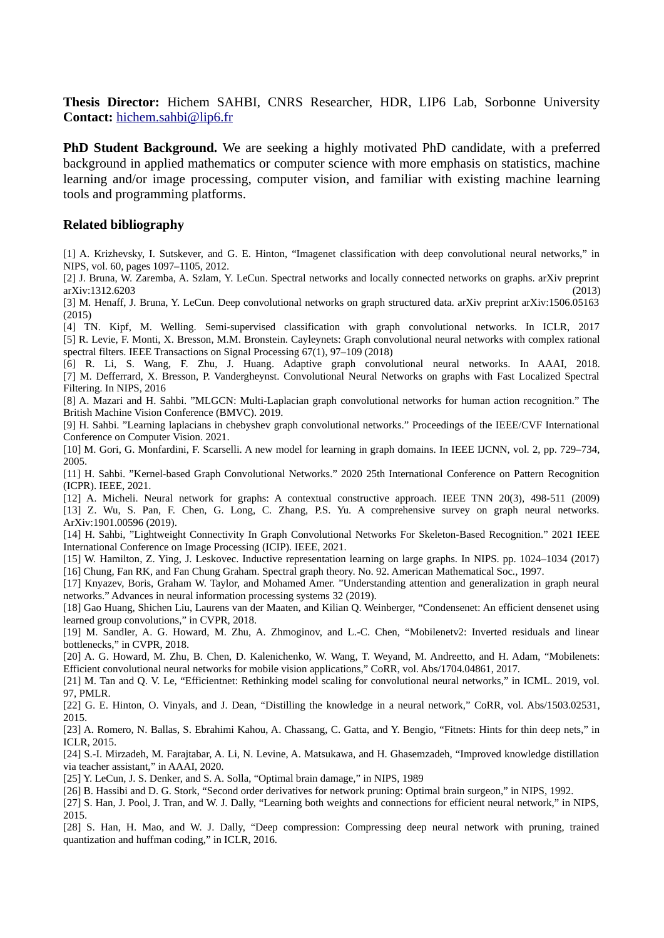**Thesis Director:** Hichem SAHBI, CNRS Researcher, HDR, LIP6 Lab, Sorbonne University **Contact:** [hichem.sahbi@lip6.fr](mailto:hichem.sahbi@lip6.fr)

**PhD Student Background.** We are seeking a highly motivated PhD candidate, with a preferred background in applied mathematics or computer science with more emphasis on statistics, machine learning and/or image processing, computer vision, and familiar with existing machine learning tools and programming platforms.

## **Related bibliography**

[1] A. Krizhevsky, I. Sutskever, and G. E. Hinton, "Imagenet classification with deep convolutional neural networks," in NIPS, vol. 60, pages 1097–1105, 2012.

[2] J. Bruna, W. Zaremba, A. Szlam, Y. LeCun. Spectral networks and locally connected networks on graphs. arXiv preprint arXiv:1312.6203 (2013)

[3] M. Henaff, J. Bruna, Y. LeCun. Deep convolutional networks on graph structured data. arXiv preprint arXiv:1506.05163 (2015)

[4] TN. Kipf, M. Welling. Semi-supervised classification with graph convolutional networks. In ICLR, 2017 [5] R. Levie, F. Monti, X. Bresson, M.M. Bronstein. Cayleynets: Graph convolutional neural networks with complex rational spectral filters. IEEE Transactions on Signal Processing 67(1), 97–109 (2018)

[6] R. Li, S. Wang, F. Zhu, J. Huang. Adaptive graph convolutional neural networks. In AAAI, 2018. [7] M. Defferrard, X. Bresson, P. Vandergheynst. Convolutional Neural Networks on graphs with Fast Localized Spectral Filtering. In NIPS, 2016

[8] A. Mazari and H. Sahbi. "MLGCN: Multi-Laplacian graph convolutional networks for human action recognition." The British Machine Vision Conference (BMVC). 2019.

[9] H. Sahbi. "Learning laplacians in chebyshev graph convolutional networks." Proceedings of the IEEE/CVF International Conference on Computer Vision. 2021.

[10] M. Gori, G. Monfardini, F. Scarselli. A new model for learning in graph domains. In IEEE IJCNN, vol. 2, pp. 729–734, 2005.

[11] H. Sahbi. "Kernel-based Graph Convolutional Networks." 2020 25th International Conference on Pattern Recognition (ICPR). IEEE, 2021.

[12] A. Micheli. Neural network for graphs: A contextual constructive approach. IEEE TNN 20(3), 498-511 (2009) [13] Z. Wu, S. Pan, F. Chen, G. Long, C. Zhang, P.S. Yu. A comprehensive survey on graph neural networks. ArXiv:1901.00596 (2019).

[14] H. Sahbi, "Lightweight Connectivity In Graph Convolutional Networks For Skeleton-Based Recognition." 2021 IEEE International Conference on Image Processing (ICIP). IEEE, 2021.

[15] W. Hamilton, Z. Ying, J. Leskovec. Inductive representation learning on large graphs. In NIPS. pp. 1024–1034 (2017) [16] Chung, Fan RK, and Fan Chung Graham. Spectral graph theory. No. 92. American Mathematical Soc., 1997.

[17] Knyazev, Boris, Graham W. Taylor, and Mohamed Amer. "Understanding attention and generalization in graph neural networks." Advances in neural information processing systems 32 (2019).

[18] Gao Huang, Shichen Liu, Laurens van der Maaten, and Kilian Q. Weinberger, "Condensenet: An efficient densenet using learned group convolutions," in CVPR, 2018.

[19] M. Sandler, A. G. Howard, M. Zhu, A. Zhmoginov, and L.-C. Chen, "Mobilenetv2: Inverted residuals and linear bottlenecks," in CVPR, 2018.

[20] A. G. Howard, M. Zhu, B. Chen, D. Kalenichenko, W. Wang, T. Weyand, M. Andreetto, and H. Adam, "Mobilenets: Efficient convolutional neural networks for mobile vision applications," CoRR, vol. Abs/1704.04861, 2017.

[21] M. Tan and Q. V. Le, "Efficientnet: Rethinking model scaling for convolutional neural networks," in ICML. 2019, vol. 97, PMLR.

[22] G. E. Hinton, O. Vinyals, and J. Dean, "Distilling the knowledge in a neural network," CoRR, vol. Abs/1503.02531, 2015.

[23] A. Romero, N. Ballas, S. Ebrahimi Kahou, A. Chassang, C. Gatta, and Y. Bengio, "Fitnets: Hints for thin deep nets," in ICLR, 2015.

[24] S.-I. Mirzadeh, M. Farajtabar, A. Li, N. Levine, A. Matsukawa, and H. Ghasemzadeh, "Improved knowledge distillation via teacher assistant," in AAAI, 2020.

[25] Y. LeCun, J. S. Denker, and S. A. Solla, "Optimal brain damage," in NIPS, 1989

[26] B. Hassibi and D. G. Stork, "Second order derivatives for network pruning: Optimal brain surgeon," in NIPS, 1992.

[27] S. Han, J. Pool, J. Tran, and W. J. Dally, "Learning both weights and connections for efficient neural network," in NIPS, 2015.

[28] S. Han, H. Mao, and W. J. Dally, "Deep compression: Compressing deep neural network with pruning, trained quantization and huffman coding," in ICLR, 2016.